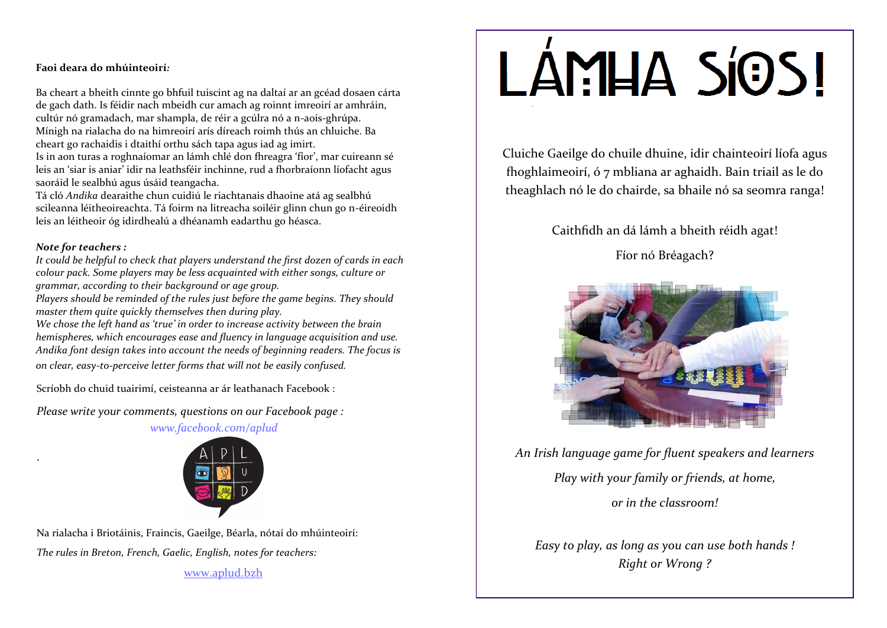### **Faoi deara do mhúinteoirí***:*

Ba cheart a bheith cinnte go bhfuil tuiscint ag na daltaí ar an gcéad dosaen cárta de gach dath. Is féidir nach mbeidh cur amach ag roinnt imreoirí ar amhráin, cultúr nó gramadach, mar shampla, de réir a gcúlra nó a n-aois-ghrúpa. Mínigh na rialacha do na himreoirí arís díreach roimh thús an chluiche. Ba cheart go rachaidis i dtaithí orthu sách tapa agus iad ag imirt.

Is in aon turas a roghnaíomar an lámh chlé don fhreagra 'fíor', mar cuireann sé leis an 'siar is aniar' idir na leathsféir inchinne, rud a fhorbraíonn líofacht agus saoráid le sealbhú agus úsáid teangacha.

Tá cló *Andika* dearaithe chun cuidiú le riachtanais dhaoine atá ag sealbhú scileanna léitheoireachta. Tá foirm na litreacha soiléir glinn chun go n-éireoidh leis an léitheoir óg idirdhealú a dhéanamh eadarthu go héasca.

### *Note for teachers :*

.

*It could be helpful to check that players understand the first dozen of cards in each colour pack. Some players may be less acquainted with either songs, culture or grammar, according to their background or age group.* 

*Players should be reminded of the rules just before the game begins. They should master them quite quickly themselves then during play.*

*We chose the left hand as 'true' in order to increase activity between the brain hemispheres, which encourages ease and fluency in language acquisition and use. Andika font design takes into account the needs of beginning readers. The focus is on clear, easy-to-perceive letter forms that will not be easily confused.*

Scríobh do chuid tuairimí, ceisteanna ar ár leathanach Facebook :

*Please write your comments, questions on our Facebook page :* 

*www.facebook.com/aplud*



Na rialacha i Briotáinis, Fraincis, Gaeilge, Béarla, nótaí do mhúinteoirí: *The rules in Breton, French, Gaelic, English, notes for teachers:* 

[www.aplud.bzh](http://www.aplud.bzh/)

# LÁMHA SÍOS!

Cluiche Gaeilge do chuile dhuine, idir chainteoirí líofa agus fhoghlaimeoirí, ó 7 mbliana ar aghaidh. Bain triail as le do theaghlach nó le do chairde, sa bhaile nó sa seomra ranga!

### Caithfidh an dá lámh a bheith réidh agat!

Fíor nó Bréagach?



*An Irish language game for fluent speakers and learners Play with your family or friends, at home, or in the classroom!*

*Easy to play, as long as you can use both hands ! Right or Wrong ?*